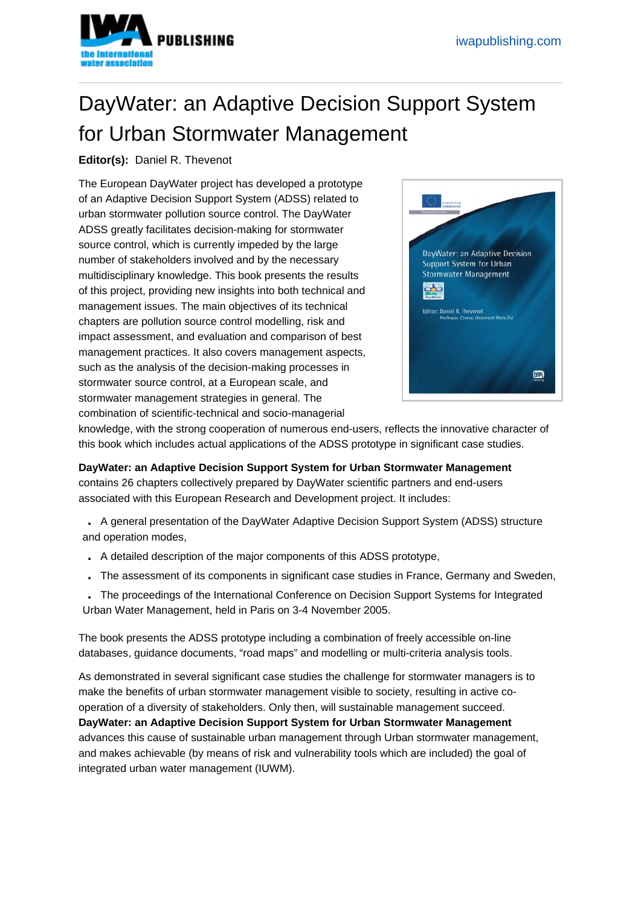## DayWater: an Adaptive Decision Suppor[t System](https://www.iwapublishing.com)  for Urban Stormwater Management

## Editor(s): Daniel R. Thevenot

The European DayWater project has developed a prototype of an Adaptive Decision Support System (ADSS) related to urban stormwater pollution source control. The DayWater ADSS greatly facilitates decision-making for stormwater source control, which is currently impeded by the large number of stakeholders involved and by the necessary multidisciplinary knowledge. This book presents the results of this project, providing new insights into both technical and management issues. The main objectives of its technical chapters are pollution source control modelling, risk and impact assessment, and evaluation and comparison of best management practices. It also covers management aspects, such as the analysis of the decision-making processes in stormwater source control, at a European scale, and stormwater management strategies in general. The combination of scientific-technical and socio-managerial



knowledge, with the strong cooperation of numerous end-users, reflects the innovative character of this book which includes actual applications of the ADSS prototype in significant case studies.

DayWater: an Adaptive Decision Support System for Urban Stormwater Management contains 26 chapters collectively prepared by DayWater scientific partners and end-users associated with this European Research and Development project. It includes:

. A general presentation of the DayWater Adaptive Decision Support System (ADSS) structure and operation modes,

- . A detailed description of the major components of this ADSS prototype,
- . The assessment of its components in significant case studies in France, Germany and Sweden,

. The proceedings of the International Conference on Decision Support Systems for Integrated Urban Water Management, held in Paris on 3-4 November 2005.

The book presents the ADSS prototype including a combination of freely accessible on-line databases, guidance documents, "road maps" and modelling or multi-criteria analysis tools.

As demonstrated in several significant case studies the challenge for stormwater managers is to make the benefits of urban stormwater management visible to society, resulting in active cooperation of a diversity of stakeholders. Only then, will sustainable management succeed. DayWater: an Adaptive Decision Support System for Urban Stormwater Management advances this cause of sustainable urban management through Urban stormwater management, and makes achievable (by means of risk and vulnerability tools which are included) the goal of integrated urban water management (IUWM).